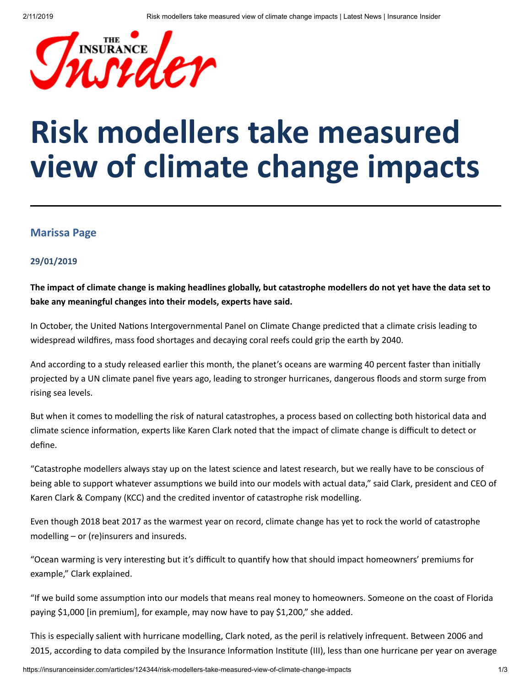

## **Risk modellers take measured view of climate change impacts**

## **Marissa Page**

## **29/01/2019**

The impact of climate change is making headlines globally, but catastrophe modellers do not yet have the data set to **bake any meaningful changes into their models, experts have said.**

In October, the United Nations Intergovernmental Panel on Climate Change predicted that a climate crisis leading to widespread wildfires, mass food shortages and decaying coral reefs could grip the earth by 2040.

And according to a study released earlier this month, the planet's oceans are warming 40 percent faster than initially projected by a UN climate panel five years ago, leading to stronger hurricanes, dangerous floods and storm surge from rising sea levels.

But when it comes to modelling the risk of natural catastrophes, a process based on collecting both historical data and climate science information, experts like Karen Clark noted that the impact of climate change is difficult to detect or define.

"Catastrophe modellers always stay up on the latest science and latest research, but we really have to be conscious of being able to support whatever assumptions we build into our models with actual data," said Clark, president and CEO of Karen Clark & Company (KCC) and the credited inventor of catastrophe risk modelling.

Even though 2018 beat 2017 as the warmest year on record, climate change has yet to rock the world of catastrophe modelling – or (re)insurers and insureds.

"Ocean warming is very interesting but it's difficult to quantify how that should impact homeowners' premiums for example," Clark explained.

"If we build some assumption into our models that means real money to homeowners. Someone on the coast of Florida paying \$1,000 [in premium], for example, may now have to pay \$1,200," she added.

This is especially salient with hurricane modelling, Clark noted, as the peril is relatively infrequent. Between 2006 and 2015, according to data compiled by the Insurance Information Institute (III), less than one hurricane per year on average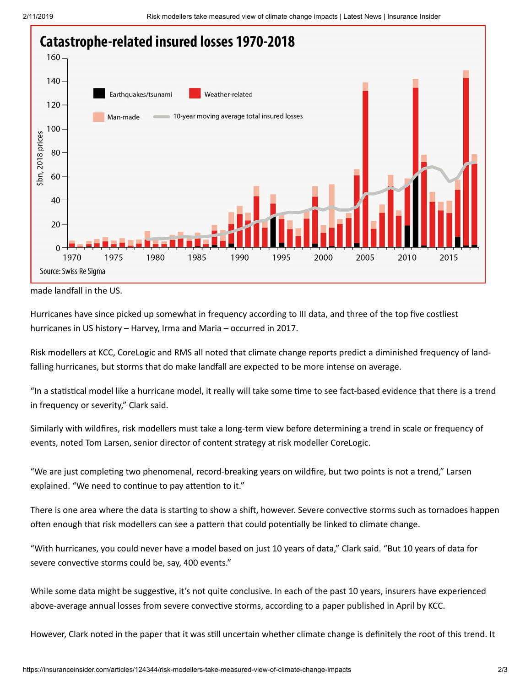

made landfall in the US.

Hurricanes have since picked up somewhat in frequency according to III data, and three of the top five costliest hurricanes in US history – Harvey, Irma and Maria – occurred in 2017.

Risk modellers at KCC, CoreLogic and RMS all noted that climate change reports predict a diminished frequency of landfalling hurricanes, but storms that do make landfall are expected to be more intense on average.

"In a statistical model like a hurricane model, it really will take some time to see fact-based evidence that there is a trend in frequency or severity," Clark said.

Similarly with wildfires, risk modellers must take a long-term view before determining a trend in scale or frequency of events, noted Tom Larsen, senior director of content strategy at risk modeller CoreLogic.

"We are just completing two phenomenal, record-breaking years on wildfire, but two points is not a trend," Larsen explained. "We need to continue to pay attention to it."

There is one area where the data is starting to show a shift, however. Severe convective storms such as tornadoes happen often enough that risk modellers can see a pattern that could potentially be linked to climate change.

"With hurricanes, you could never have a model based on just 10 years of data," Clark said. "But 10 years of data for severe convective storms could be, say, 400 events."

While some data might be suggestive, it's not quite conclusive. In each of the past 10 years, insurers have experienced above-average annual losses from severe convective storms, according to a paper published in April by KCC.

However, Clark noted in the paper that it was still uncertain whether climate change is definitely the root of this trend. It